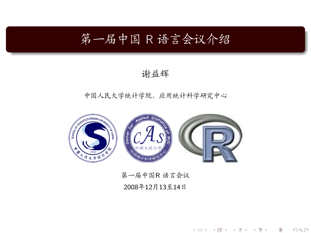# 第一届中国 R 语言会议介绍

### 谢益辉

### 中国人民大学统计学院、应用统计科学研究中心



# 第一届中国R语言会议

<span id="page-0-0"></span>2008年12月13至14日

一目

 $\mathcal{O}\subset\mathcal{O}$ 

《 ロ 》 《 部 》 《 三 》 《 三 》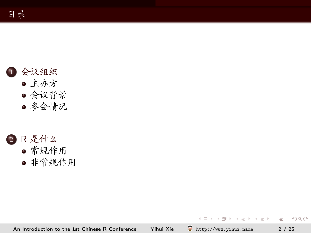

- 主办方 • 会议背景
- 参会情况



• 非常规作用

An Introduction to the 1st Chinese R Conference Yihui Xie

ę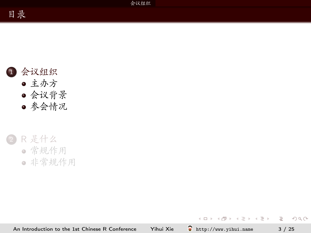

- 主办方 • 会议背景
- 参会情况



<span id="page-2-0"></span>ę An Introduction to the 1st Chinese R Conference Yihui Xie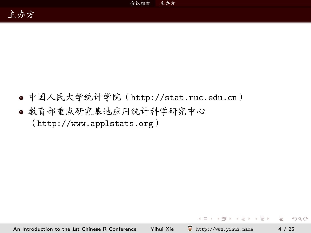● 中国人民大学统计学院 (http://stat.ruc.edu.cn) ● 教育部重点研究基地应用统计科学研究中心  $(inttp://www.appendstats.org)$ 

An Introduction to the 1st Chinese R Conference Yihui Xie ę http://www.yihui.name <span id="page-3-0"></span> $OQ$ 

 $\mathcal{A} \quad \Box \quad \mathcal{P} \quad \mathcal{A} \quad \mathcal{B} \quad \mathcal{P} \quad \mathcal{A} \quad \mathcal{B} \quad \mathcal{P} \quad \mathcal{A} \quad \mathcal{B} \quad \mathcal{P} \quad \mathcal{B} \quad \mathcal{P} \quad \mathcal{B} \quad \mathcal{P} \quad \mathcal{B} \quad \mathcal{P} \quad \mathcal{B} \quad \mathcal{P} \quad \mathcal{B} \quad \mathcal{P} \quad \mathcal{B} \quad \mathcal{P} \quad \mathcal{B} \quad \mathcal{P} \quad \mathcal{B} \quad \mathcal{P} \quad$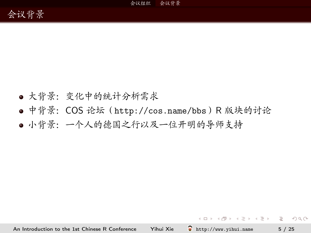- 大背景: 变化中的统计分析需求
- 中背景: COS 论坛 (http://cos.name/bbs) R 版块的讨论
- 小背景: 一个人的德国之行以及一位开明的导师支持

An Introduction to the 1st Chinese R Conference Yihui Xie  $\sum$  http://www.yihui.name

<span id="page-4-0"></span>**KEIK KARK KEIK EI YOUN**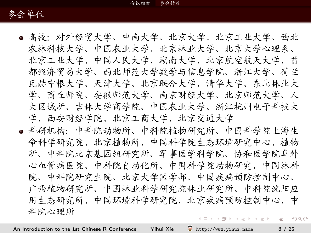

- 高校:对外经贸大学、中南大学、北京大学、北京工业大学、西北 农林科技大学、中国农业大学、北京林业大学、北京大学心理系、 北京工业大学、中国人民大学、湖南大学、北京航空航天大学、首 都经济留易大学、西北师范大学数学与信息学院、浙江大学、荷兰 瓦赫宁根大学、天津大学、北京联合大学、清华大学、东北林业大 学、商丘师院、安徽师范大学、南京财经大学、北京师范大学、人 大区域所、吉林大学商学院、中国农业大学、浙江杭州电子科技大 学、西安财经学院、北京工商大学、北京交通大学
- <span id="page-5-0"></span>● 科研机构: 中科院动物所、中科院植物研究所、中国科学院上海生 命科学研究院、北京植物所、中国科学院生态环境研究中心、植物 所、中科院北京基因组研究所、军事医学科学院、协和医学院阜外 心血管病医院、中科院自动化所、中国科学院动物研究、中国林科 院、中科院研究生院、北京大学医学部、中国疾病预防控制中心、 广西植物研究所、中国林业科学研究院林业研究所、中科院沈阳应 用生态研究所、中国环境科学研究院、北京疾病预防控制中心、中 科院心理所 A EL A FER A ER A ER HONO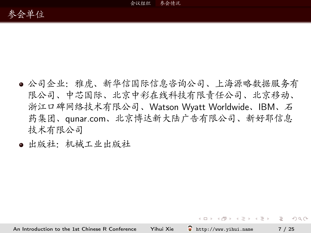

- 公司企业:雅虎、新华信国际信息咨询公司、上海源略数据服务有 限公司、中芯国际、北京中彩在线科技有限责任公司、北京移动、 浙江口碑网络技术有限公司、Watson Wyatt Worldwide、IBM、石 药集团、qunar.com、北京博达新大陆广告有限公司、新好耶信息 技术有限公司
- 出版社:机械工业出版社

**KOD KAD KED KED E VAN**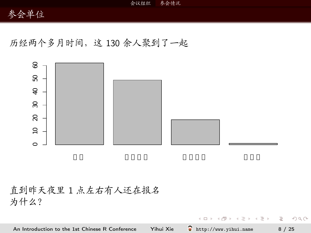# 参会单位

历经两个多月时间,这130余人聚到了一起



直到昨天夜里1点左右有人还在报名 为什么?

An Introduction to the 1st Chinese R Conference Yihui Xie ę http://www.yihui.name  $8/25$ 

 $\left\{ \begin{array}{ccc} \pm & \pm & \pm \end{array} \right.$  and  $\left\{ \begin{array}{ccc} \pm & \pm & \pm \end{array} \right.$  and  $\left\{ \begin{array}{ccc} \pm & \pm & \pm \end{array} \right.$ 

 $\equiv$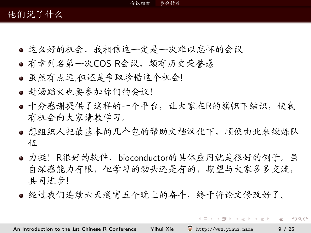#### 参会情况 会议组织

# 他们说了什么

- 这么好的机会,我相信这一定是一次难以忘怀的会议
- 有幸列名第一次COS R会议, 颇有历史荣誉感
- 虽然有点远.但还是争取珍惜这个机会!
- 赴汤蹈火也要参加你们的会议!
- 十分感谢提供了这样的一个平台, 让大家在R的旗帜下结识, 使我 有机会向大家请教学习。
- 想组织人把最基本的几个包的帮助文档汉化下, 顺便由此来锻炼队 伍
- 力挺! R很好的软件, bioconductor的具体应用就是很好的例子。虽 自深感能力有限,但学习的劲头还是有的,期望与大家多多交流, 共同进步!
- 经过我们连续六天通宵五个晚上的奋斗, 终于将论文修改好了。

<span id="page-8-0"></span>A EL A FER A ER A ER HONO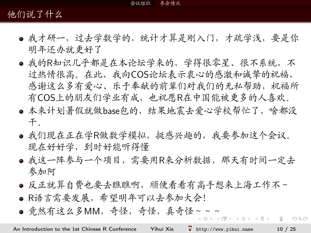# 他们说了什么

- 我才研一,过去学教学的,统计才算是刚入门,才疏学浅,要是你 明年还办就更好了
- 我的R知识几乎都是在本论坛学来的, 学得很零星、很不系统, 不 过热情很高。在此,我向COS论坛表示衷心的感激和诚挚的祝福, 感谢这么多有爱心、乐于奉献的前辈们对我们的无私帮助, 祝福所 有COS上的朋友们学业有成,也祝愿R在中国能被更多的人喜欢。
- 本来计划暑假就做base包的, 结果地震去爱心学校帮忙了, 啥都没 干。
- 我们现在正在学R做数学模拟,挺感兴趣的,我要参加这个会议。 现在好好学,到时好能听得懂
- 我这一阵参与一个项目, 需要用R来分析数据, 那天有时间一定去 参加阿
- 反正就算自费也要去瞧瞧啊, 顺便看看有高手想来上海工作不~
- R语言需要发展, 希望明年可以去参加大会!
- <span id="page-9-0"></span>● 竟然有这么多MM, 奇怪, 奇怪, 真奇怪~~~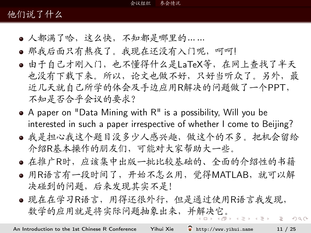# 他们说了什么

- 人都满了哈, 这么快, 不知都是哪里的 ......
- 那我后面只有熬夜了。我现在还没有入门呢, 呵呵!
- 由干自己才刚入门, 也不懂得什么是LaTeX等, 在网上杳找了半天 也没有下载下来。所以,论文也做不好,只好当听众了。另外,最 近几天就自己所学的体会及手边应用R解决的问题做了一个PPT, 不知是否合乎会议的要求?
- $\bullet$  A paper on "Data Mining with  $R''$  is a possibility, Will you be interested in such a paper irrespective of whether I come to Beijing?
- 我是担心我这个题目没多少人感兴趣, 做这个的不多。把机会留给 介绍R基本操作的朋友们,可能对大家帮助大一些。
- · 在推广R时, 应该集中出版一批比较基础的、全面的介绍性的书籍
- 用R语言有一段时间了, 开始不怎么用, 觉得MATLAB, 就可以解 决碰到的问题,后来发现其实不是!
- <span id="page-10-0"></span>● 现在在学习R语言, 用得还很外行, 但是通过使用R语言我发现, 数学的应用就是将实际问题抽象出来,并解决它。 **伊 ト イヨ ト イヨ ト**  $\equiv$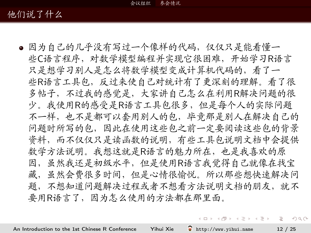参会情况 会议组织

# 他们说了什么

● 因为自己的几乎没有写过一个像样的代码, 仅仅只是能看懂一 些C语言程序, 对数学模型编程并实现它很困难, 开始学习R语言 只是想学习别人是怎么将数学模型变成计算机代码的,看了一 些R语言工具包,反过来使自己对统计有了更深刻的理解。看了很 多帖子,不过我的感觉是,大家讲自己怎么在利用R解决问题的很 少。我使用R的感受是R语言工具包很多,但是每个人的实际问题 不一样, 也不是都可以套用别人的包, 毕竟那是别人在解决自己的 问题时所写的包,因此在使用这些包之前一定要阅读这些包的背景 资料,而不仅仅只是读函数的说明,有些工具包说明文档中会提供 数学方法说明。我想这就是R语言的魅力所在,也是我喜欢的原 因, 虽然我还是初级水平, 但是使用R语言我觉得自己就像在找宝 藏、虽然会费很多时间、但是心情很愉悦。所以那些想快速解决问 题,不想知道问题解决过程或者不想看方法说明文档的朋友,就不 要用R语言了,因为怎么使用的方法都在那里面。

<span id="page-11-0"></span> $\mathbf{E} = \mathbf{A} \oplus \mathbf{B} + \mathbf{A} \oplus \mathbf{B} + \mathbf{A} \oplus \mathbf{B} + \mathbf{A} \oplus \mathbf{B} + \mathbf{A} \oplus \mathbf{B} + \mathbf{A} \oplus \mathbf{B} + \mathbf{A} \oplus \mathbf{B} + \mathbf{A} \oplus \mathbf{B} + \mathbf{A} \oplus \mathbf{B} + \mathbf{A} \oplus \mathbf{B} + \mathbf{A} \oplus \mathbf{B} + \mathbf{A} \oplus \mathbf{B} + \mathbf{A} \oplus \mathbf{B} + \mathbf{A$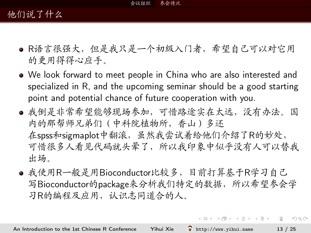# 他们说了什么

- R语言很强大, 但是我只是一个初级入门者, 希望自己可以对它用 的更用得得心应手。
- We look forward to meet people in China who are also interested and specialized in R, and the upcoming seminar should be a good starting point and potential chance of future cooperation with you.
- 我倒是非常希望能够现场参加,可惜路途实在太远,没有办法。国 内的那帮师兄弟们 ( 中科院植物所, 香山) 多还 在spss和sigmaplot中翻滚, 虽然我尝试着给他们介绍了R的妙处, 可惜很多人看见代码就头晕了,所以我印象中似乎没有人可以替我 出场。
- 我使用R一般是用Bioconductor比较多,目前打算基于R学习自己 写Bioconductor的package来分析我们特定的数据,所以希望参会学 习R的编程及应用,认识志同道合的人。

A EL A FER A ER A ER HONO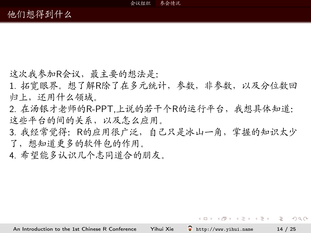这次我参加R会议, 最主要的想法是:

1. 拓宽眼界。想了解R除了在多元统计, 参数, 非参数, 以及分位数回 归上,还用什么领域。

2. 在汤银才老师的R-PPT,上说的若干个R的运行平台,我想具体知道: 这些平台的间的关系,以及怎么应用。

3. 我经常觉得: R的应用很广泛, 自己只是冰山一角, 掌握的知识太少 了,想知道更多的软件包的作用。

4. 希望能多认识几个志同道合的朋友。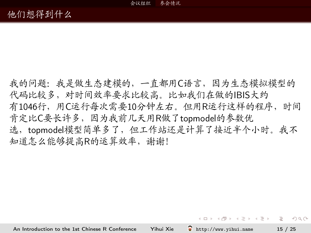我的问题:我是做生态建模的,一直都用C语言,因为生态模拟模型的 代码比较多,对时间效率要求比较高。比如我们在做的IBIS大约 有1046行, 用C运行每次需要10分钟左右。但用R运行这样的程序, 时间 肯定比C要长许多, 因为我前几天用R做了topmodel的参数优 选,topmodel模型简单多了,但工作站还是计算了接近半个小时。我不 知道怎么能够提高R的运算效率, 谢谢!

A O A Y (FINALE) A BLANCH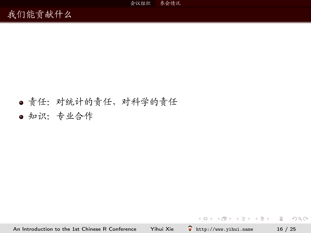# ● 责任: 对统计的责任, 对科学的责任

● 知识: 专业合作

An Introduction to the 1st Chinese R Conference Yihui Xie

**KEIN KARA KEIN (EN 1980)**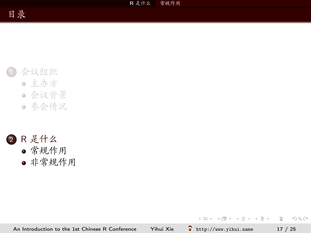R 是什么 常规作用

# 会议组织 • 主办方

- 会议背景
- 参会情况



• 非常规作用

ę An Introduction to the 1st Chinese R Conference Yihui Xie

 $\equiv$ 

<span id="page-16-0"></span> $OQ$ 

 $A \equiv \mathbf{1} \times \mathbf{1} \oplus \mathbf{1} \times \mathbf{1} \oplus \mathbf{1} \times \mathbf{1} \oplus \mathbf{1}$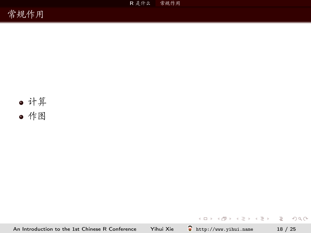R 是什么 常规作用





An Introduction to the 1st Chinese R Conference Yihui Xie

http://www.yihui.name  $18 / 25$ 

 $\equiv$ 

 $\mathcal{O}\subset\mathcal{O}$ 

 $\mathcal{A} \subseteq \mathcal{A} \ \ \mathcal{A} \ \ \mathcal{B} \ \ \mathcal{B} \ \ \mathcal{A} \ \ \mathcal{B} \ \ \mathcal{B} \ \ \mathcal{A} \ \ \mathcal{B} \ \ \mathcal{B}$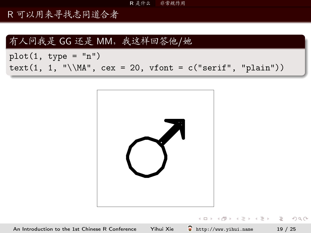R 是什么 非常规作用

R可以用来寻找志同道合者

## 有人问我是 GG 还是 MM, 我这样回答他/她

 $plot(1, type = "n")$ text(1, 1, "\\MA", cex = 20, vfont =  $c("serif", "plain")$ )

<span id="page-18-0"></span>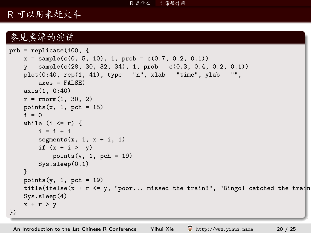### R 是什么<br> 非常规作用

# R可以用来赶火车

## 参见奚潭的演讲

```
prb = replicate(100, {
    x = sample(c(0, 5, 10), 1, prob = c(0.7, 0.2, 0.1))y = sample(c(28, 30, 32, 34), 1, prob = c(0.3, 0.4, 0.2, 0.1))plot(0:40, rep(1, 41), type = "n", xlab = "time", ylab = "",\angleaxes = FALSE)
    axis(1, 0:40)
    r = rnorm(1, 30, 2)points(x, 1, pch = 15)i = 0while (i \leq r) {
       i = i + 1segments(x, 1, x + i, 1)
        if (x + i \ge y)points(y, 1, pch = 19)
        Sys.sleep(0.1)
    }
    points(y, 1, pch = 19)title(ifelse(x + r <= y, "poor... missed the train!", "Bingo! catched the train
    Sys.sleep(4)
    x + r > y})
```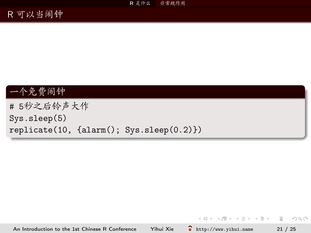# R可以当闹钟

# 一个免费闹钟

# 5秒之后铃声大作  $Sys.sleep(5)$  $replicate(10, {alarm(); System().}$ 

http://www.yihui.name An Introduction to the 1st Chinese R Conference Yihui Xie ę

イロト イ母ト イヨト イヨト

 $\equiv$   $\Omega Q$ 

 $21 / 25$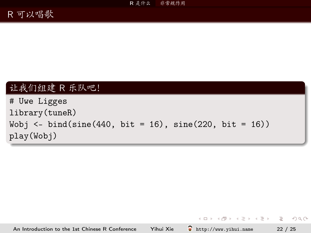# 让我们组建 R 乐队吧!

# Uwe Ligges library(tuneR) Wobj  $\leftarrow$  bind(sine(440, bit = 16), sine(220, bit = 16)) play(Wobj)

[An Introduction to the 1st Chinese R Conference](#page-0-0) Yihui Xie  $\bigcirc$  <http://www.yihui.name> 22 / 25

K ロ ▶ K 레 ≯ K 레 ≯ K 레 ≯ X → D → D A Q Q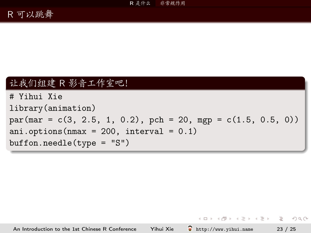# 让我们组建 R 影音工作室吧!

```
# Yihui Xie
library (animation)
par(max = c(3, 2.5, 1, 0.2), pch = 20, mp = c(1.5, 0.5, 0))ani.options (nmax = 200, interval = 0.1)
buffer. needle(type = "S")
```
An Introduction to the 1st Chinese R Conference Yihui Xie  $\sum$  http://www.vihui.name  $23 / 25$ 

A O A Y (FINALE) A BLANCH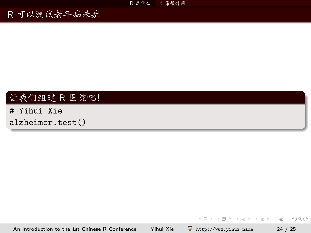R 是什么 非常规作用

R可以测试老年痴呆症

# 让我们组建 R 医院吧!

# Yihui Xie alzheimer.test()

ę http://www.yihui.name An Introduction to the 1st Chinese R Conference Yihui Xie

 $\equiv$   $24 / 25$ 

 $OQ$ 

イロト イ押ト イヨト イヨト